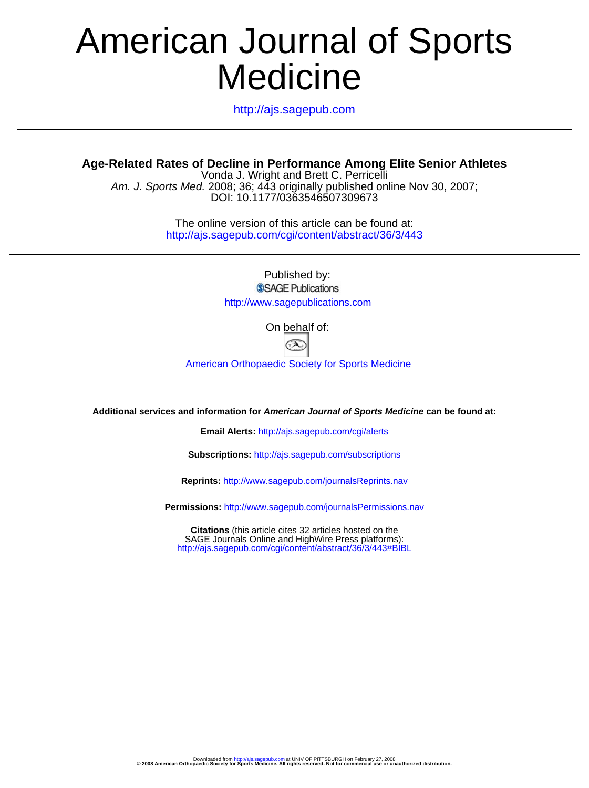# **Medicine** American Journal of Sports

http://ajs.sagepub.com

**Age-Related Rates of Decline in Performance Among Elite Senior Athletes**

DOI: 10.1177/0363546507309673 Am. J. Sports Med. 2008; 36; 443 originally published online Nov 30, 2007; Vonda J. Wright and Brett C. Perricelli

> http://ajs.sagepub.com/cgi/content/abstract/36/3/443 The online version of this article can be found at:

> > Published by: SSAGE Publications http://www.sagepublications.com

> > > On behalf of:



[American Orthopaedic Society for Sports Medicine](http://www.aossm.org)

**Additional services and information for American Journal of Sports Medicine can be found at:**

**Email Alerts:** <http://ajs.sagepub.com/cgi/alerts>

**Subscriptions:** <http://ajs.sagepub.com/subscriptions>

**Reprints:** <http://www.sagepub.com/journalsReprints.nav>

**Permissions:** <http://www.sagepub.com/journalsPermissions.nav>

<http://ajs.sagepub.com/cgi/content/abstract/36/3/443#BIBL> SAGE Journals Online and HighWire Press platforms): **Citations** (this article cites 32 articles hosted on the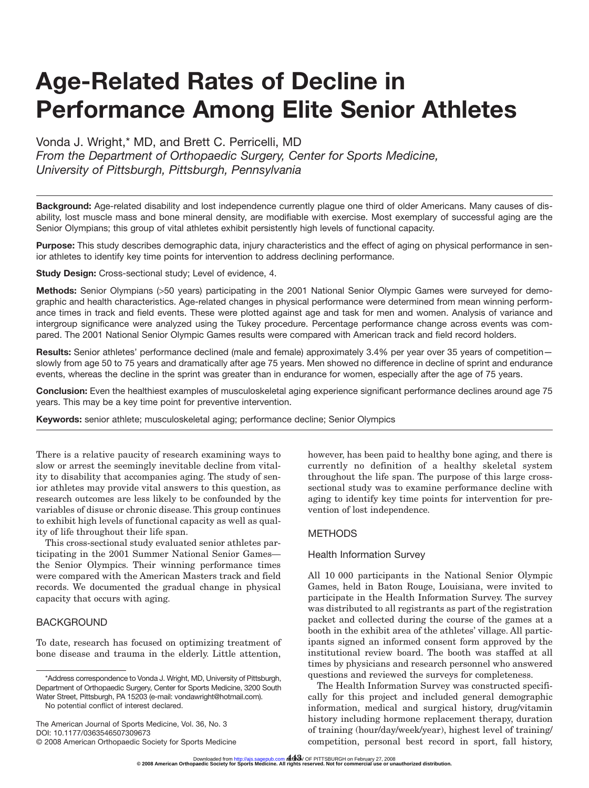# **Age-Related Rates of Decline in Performance Among Elite Senior Athletes**

Vonda J. Wright,\* MD, and Brett C. Perricelli, MD

*From the Department of Orthopaedic Surgery, Center for Sports Medicine, University of Pittsburgh, Pittsburgh, Pennsylvania*

**Background:** Age-related disability and lost independence currently plague one third of older Americans. Many causes of disability, lost muscle mass and bone mineral density, are modifiable with exercise. Most exemplary of successful aging are the Senior Olympians; this group of vital athletes exhibit persistently high levels of functional capacity.

**Purpose:** This study describes demographic data, injury characteristics and the effect of aging on physical performance in senior athletes to identify key time points for intervention to address declining performance.

**Study Design:** Cross-sectional study; Level of evidence, 4.

**Methods:** Senior Olympians (>50 years) participating in the 2001 National Senior Olympic Games were surveyed for demographic and health characteristics. Age-related changes in physical performance were determined from mean winning performance times in track and field events. These were plotted against age and task for men and women. Analysis of variance and intergroup significance were analyzed using the Tukey procedure. Percentage performance change across events was compared. The 2001 National Senior Olympic Games results were compared with American track and field record holders.

**Results:** Senior athletes' performance declined (male and female) approximately 3.4% per year over 35 years of competition slowly from age 50 to 75 years and dramatically after age 75 years. Men showed no difference in decline of sprint and endurance events, whereas the decline in the sprint was greater than in endurance for women, especially after the age of 75 years.

**Conclusion:** Even the healthiest examples of musculoskeletal aging experience significant performance declines around age 75 years. This may be a key time point for preventive intervention.

**Keywords:** senior athlete; musculoskeletal aging; performance decline; Senior Olympics

There is a relative paucity of research examining ways to slow or arrest the seemingly inevitable decline from vitality to disability that accompanies aging. The study of senior athletes may provide vital answers to this question, as research outcomes are less likely to be confounded by the variables of disuse or chronic disease. This group continues to exhibit high levels of functional capacity as well as quality of life throughout their life span.

This cross-sectional study evaluated senior athletes participating in the 2001 Summer National Senior Games the Senior Olympics. Their winning performance times were compared with the American Masters track and field records. We documented the gradual change in physical capacity that occurs with aging.

# BACKGROUND

To date, research has focused on optimizing treatment of bone disease and trauma in the elderly. Little attention,

No potential conflict of interest declared.

The American Journal of Sports Medicine, Vol. 36, No. 3 DOI: 10.1177/0363546507309673 © 2008 American Orthopaedic Society for Sports Medicine

however, has been paid to healthy bone aging, and there is currently no definition of a healthy skeletal system throughout the life span. The purpose of this large crosssectional study was to examine performance decline with aging to identify key time points for intervention for prevention of lost independence.

# METHODS

#### Health Information Survey

All 10 000 participants in the National Senior Olympic Games, held in Baton Rouge, Louisiana, were invited to participate in the Health Information Survey. The survey was distributed to all registrants as part of the registration packet and collected during the course of the games at a booth in the exhibit area of the athletes' village. All participants signed an informed consent form approved by the institutional review board. The booth was staffed at all times by physicians and research personnel who answered questions and reviewed the surveys for completeness.

The Health Information Survey was constructed specifically for this project and included general demographic information, medical and surgical history, drug/vitamin history including hormone replacement therapy, duration of training (hour/day/week/year), highest level of training/ competition, personal best record in sport, fall history,

<sup>\*</sup>Address correspondence to Vonda J. Wright, MD, University of Pittsburgh, Department of Orthopaedic Surgery, Center for Sports Medicine, 3200 South Water Street, Pittsburgh, PA 15203 (e-mail: vondawright@hotmail.com).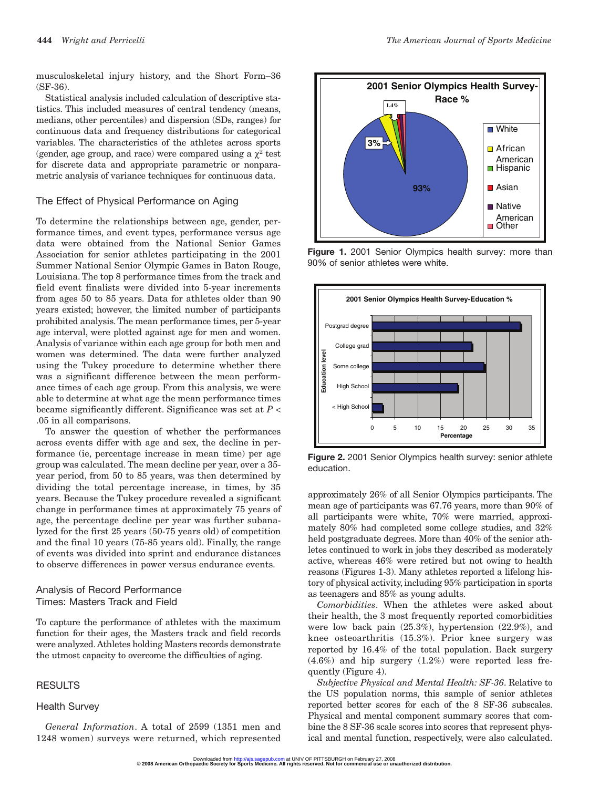musculoskeletal injury history, and the Short Form–36 (SF-36).

Statistical analysis included calculation of descriptive statistics. This included measures of central tendency (means, medians, other percentiles) and dispersion (SDs, ranges) for continuous data and frequency distributions for categorical variables. The characteristics of the athletes across sports (gender, age group, and race) were compared using a  $\chi^2$  test for discrete data and appropriate parametric or nonparametric analysis of variance techniques for continuous data.

#### The Effect of Physical Performance on Aging

To determine the relationships between age, gender, performance times, and event types, performance versus age data were obtained from the National Senior Games Association for senior athletes participating in the 2001 Summer National Senior Olympic Games in Baton Rouge, Louisiana. The top 8 performance times from the track and field event finalists were divided into 5-year increments from ages 50 to 85 years. Data for athletes older than 90 years existed; however, the limited number of participants prohibited analysis. The mean performance times, per 5-year age interval, were plotted against age for men and women. Analysis of variance within each age group for both men and women was determined. The data were further analyzed using the Tukey procedure to determine whether there was a significant difference between the mean performance times of each age group. From this analysis, we were able to determine at what age the mean performance times became significantly different. Significance was set at *P* < .05 in all comparisons.

To answer the question of whether the performances across events differ with age and sex, the decline in performance (ie, percentage increase in mean time) per age group was calculated. The mean decline per year, over a 35 year period, from 50 to 85 years, was then determined by dividing the total percentage increase, in times, by 35 years. Because the Tukey procedure revealed a significant change in performance times at approximately 75 years of age, the percentage decline per year was further subanalyzed for the first 25 years (50-75 years old) of competition and the final 10 years (75-85 years old). Finally, the range of events was divided into sprint and endurance distances to observe differences in power versus endurance events.

### Analysis of Record Performance Times: Masters Track and Field

To capture the performance of athletes with the maximum function for their ages, the Masters track and field records were analyzed.Athletes holding Masters records demonstrate the utmost capacity to overcome the difficulties of aging.

#### RESULTS

### Health Survey

*General Information*. A total of 2599 (1351 men and 1248 women) surveys were returned, which represented



Figure 1. 2001 Senior Olympics health survey: more than 90% of senior athletes were white.



**Figure 2.** 2001 Senior Olympics health survey: senior athlete education.

approximately 26% of all Senior Olympics participants. The mean age of participants was 67.76 years, more than 90% of all participants were white, 70% were married, approximately 80% had completed some college studies, and 32% held postgraduate degrees. More than 40% of the senior athletes continued to work in jobs they described as moderately active, whereas 46% were retired but not owing to health reasons (Figures 1-3). Many athletes reported a lifelong history of physical activity, including 95% participation in sports as teenagers and 85% as young adults.

*Comorbidities*. When the athletes were asked about their health, the 3 most frequently reported comorbidities were low back pain (25.3%), hypertension (22.9%), and knee osteoarthritis (15.3%). Prior knee surgery was reported by 16.4% of the total population. Back surgery (4.6%) and hip surgery (1.2%) were reported less frequently (Figure 4).

*Subjective Physical and Mental Health: SF-36*. Relative to the US population norms, this sample of senior athletes reported better scores for each of the 8 SF-36 subscales. Physical and mental component summary scores that combine the 8 SF-36 scale scores into scores that represent physical and mental function, respectively, were also calculated.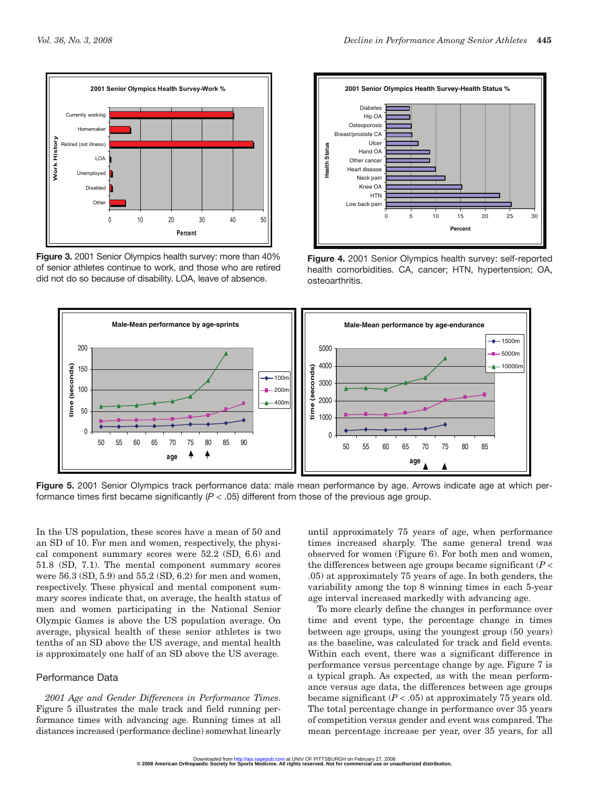

**Figure 3.** 2001 Senior Olympics health survey: more than 40% of senior athletes continue to work, and those who are retired did not do so because of disability. LOA, leave of absence.



**Figure 4.** 2001 Senior Olympics health survey: self-reported health comorbidities. CA, cancer; HTN, hypertension; OA, osteoarthritis.



**Figure 5.** 2001 Senior Olympics track performance data: male mean performance by age. Arrows indicate age at which performance times first became significantly (*P* < .05) different from those of the previous age group.

In the US population, these scores have a mean of 50 and an SD of 10. For men and women, respectively, the physical component summary scores were 52.2 (SD, 6.6) and 51.8 (SD, 7.1). The mental component summary scores were 56.3 (SD, 5.9) and 55.2 (SD, 6.2) for men and women, respectively. These physical and mental component summary scores indicate that, on average, the health status of men and women participating in the National Senior Olympic Games is above the US population average. On average, physical health of these senior athletes is two tenths of an SD above the US average, and mental health is approximately one half of an SD above the US average.

#### Performance Data

*2001 Age and Gender Differences in Performance Times*. Figure 5 illustrates the male track and field running performance times with advancing age. Running times at all distances increased (performance decline) somewhat linearly until approximately 75 years of age, when performance times increased sharply. The same general trend was observed for women (Figure 6). For both men and women, the differences between age groups became significant (*P* < .05) at approximately 75 years of age. In both genders, the variability among the top 8 winning times in each 5-year age interval increased markedly with advancing age.

To more clearly define the changes in performance over time and event type, the percentage change in times between age groups, using the youngest group (50 years) as the baseline, was calculated for track and field events. Within each event, there was a significant difference in performance versus percentage change by age. Figure 7 is a typical graph. As expected, as with the mean performance versus age data, the differences between age groups became significant  $(P < .05)$  at approximately 75 years old. The total percentage change in performance over 35 years of competition versus gender and event was compared. The mean percentage increase per year, over 35 years, for all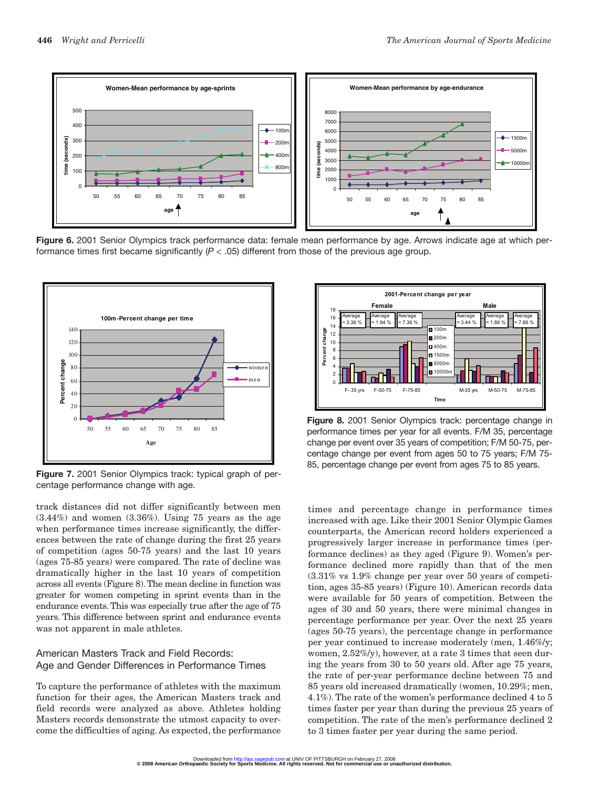

**Figure 6.** 2001 Senior Olympics track performance data: female mean performance by age. Arrows indicate age at which performance times first became significantly (*P* < .05) different from those of the previous age group.



**Figure 7.** 2001 Senior Olympics track: typical graph of percentage performance change with age.

track distances did not differ significantly between men  $(3.44\%)$  and women  $(3.36\%)$ . Using 75 years as the age when performance times increase significantly, the differences between the rate of change during the first 25 years of competition (ages 50-75 years) and the last 10 years (ages 75-85 years) were compared. The rate of decline was dramatically higher in the last 10 years of competition across all events (Figure 8). The mean decline in function was greater for women competing in sprint events than in the endurance events. This was especially true after the age of 75 years. This difference between sprint and endurance events was not apparent in male athletes.

# American Masters Track and Field Records: Age and Gender Differences in Performance Times

To capture the performance of athletes with the maximum function for their ages, the American Masters track and field records were analyzed as above. Athletes holding Masters records demonstrate the utmost capacity to overcome the difficulties of aging. As expected, the performance



**Figure 8.** 2001 Senior Olympics track: percentage change in performance times per year for all events. F/M 35, percentage change per event over 35 years of competition; F/M 50-75, percentage change per event from ages 50 to 75 years; F/M 75- 85, percentage change per event from ages 75 to 85 years.

times and percentage change in performance times increased with age. Like their 2001 Senior Olympic Games counterparts, the American record holders experienced a progressively larger increase in performance times (performance declines) as they aged (Figure 9). Women's performance declined more rapidly than that of the men (3.31% vs 1.9% change per year over 50 years of competition, ages 35-85 years) (Figure 10). American records data were available for 50 years of competition. Between the ages of 30 and 50 years, there were minimal changes in percentage performance per year. Over the next 25 years (ages 50-75 years), the percentage change in performance per year continued to increase moderately (men, 1.46%/y; women, 2.52%/y), however, at a rate 3 times that seen during the years from 30 to 50 years old. After age 75 years, the rate of per-year performance decline between 75 and 85 years old increased dramatically (women, 10.29%; men, 4.1%). The rate of the women's performance declined 4 to 5 times faster per year than during the previous 25 years of competition. The rate of the men's performance declined 2 to 3 times faster per year during the same period.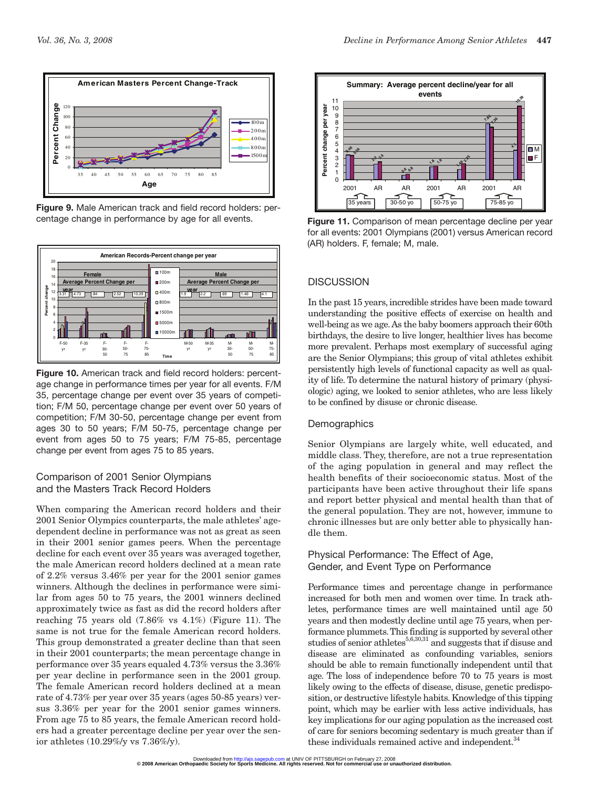

**Figure 9.** Male American track and field record holders: percentage change in performance by age for all events.



**Figure 10.** American track and field record holders: percentage change in performance times per year for all events. F/M 35, percentage change per event over 35 years of competition; F/M 50, percentage change per event over 50 years of competition; F/M 30-50, percentage change per event from ages 30 to 50 years; F/M 50-75, percentage change per event from ages 50 to 75 years; F/M 75-85, percentage change per event from ages 75 to 85 years.

# Comparison of 2001 Senior Olympians and the Masters Track Record Holders

When comparing the American record holders and their 2001 Senior Olympics counterparts, the male athletes' agedependent decline in performance was not as great as seen in their 2001 senior games peers. When the percentage decline for each event over 35 years was averaged together, the male American record holders declined at a mean rate of 2.2% versus 3.46% per year for the 2001 senior games winners. Although the declines in performance were similar from ages 50 to 75 years, the 2001 winners declined approximately twice as fast as did the record holders after reaching 75 years old (7.86% vs 4.1%) (Figure 11). The same is not true for the female American record holders. This group demonstrated a greater decline than that seen in their 2001 counterparts; the mean percentage change in performance over 35 years equaled 4.73% versus the 3.36% per year decline in performance seen in the 2001 group. The female American record holders declined at a mean rate of 4.73% per year over 35 years (ages 50-85 years) versus 3.36% per year for the 2001 senior games winners. From age 75 to 85 years, the female American record holders had a greater percentage decline per year over the senior athletes (10.29%/y vs 7.36%/y).



**Figure 11.** Comparison of mean percentage decline per year for all events: 2001 Olympians (2001) versus American record (AR) holders. F, female; M, male.

# **DISCUSSION**

In the past 15 years, incredible strides have been made toward understanding the positive effects of exercise on health and well-being as we age.As the baby boomers approach their 60th birthdays, the desire to live longer, healthier lives has become more prevalent. Perhaps most exemplary of successful aging are the Senior Olympians; this group of vital athletes exhibit persistently high levels of functional capacity as well as quality of life. To determine the natural history of primary (physiologic) aging, we looked to senior athletes, who are less likely to be confined by disuse or chronic disease.

# **Demographics**

Senior Olympians are largely white, well educated, and middle class. They, therefore, are not a true representation of the aging population in general and may reflect the health benefits of their socioeconomic status. Most of the participants have been active throughout their life spans and report better physical and mental health than that of the general population. They are not, however, immune to chronic illnesses but are only better able to physically handle them.

Physical Performance: The Effect of Age, Gender, and Event Type on Performance

Performance times and percentage change in performance increased for both men and women over time. In track athletes, performance times are well maintained until age 50 years and then modestly decline until age 75 years, when performance plummets.This finding is supported by several other studies of senior athletes $^{5,6,30,31}$  and suggests that if disuse and disease are eliminated as confounding variables, seniors should be able to remain functionally independent until that age. The loss of independence before 70 to 75 years is most likely owing to the effects of disease, disuse, genetic predisposition, or destructive lifestyle habits. Knowledge of this tipping point, which may be earlier with less active individuals, has key implications for our aging population as the increased cost of care for seniors becoming sedentary is much greater than if these individuals remained active and independent.<sup>34</sup>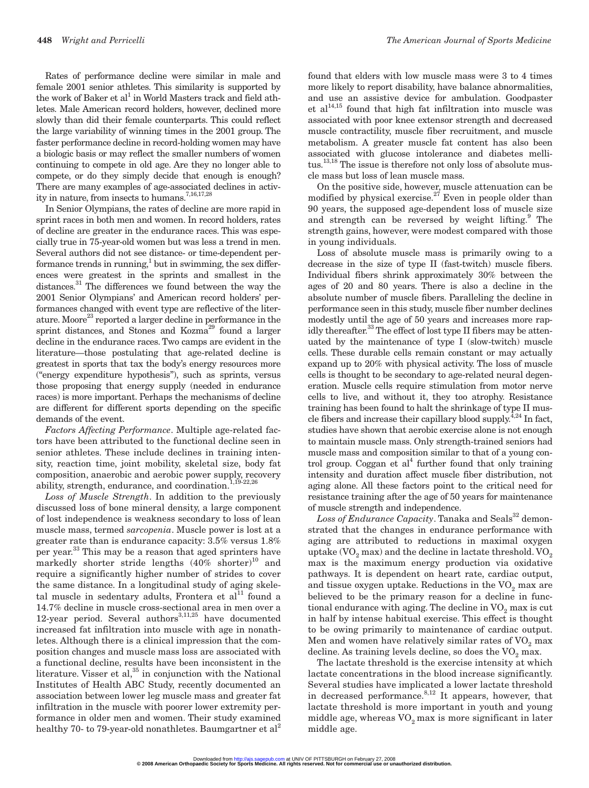Rates of performance decline were similar in male and female 2001 senior athletes. This similarity is supported by the work of Baker et al<sup>1</sup> in World Masters track and field athletes. Male American record holders, however, declined more slowly than did their female counterparts. This could reflect the large variability of winning times in the 2001 group. The faster performance decline in record-holding women may have a biologic basis or may reflect the smaller numbers of women continuing to compete in old age. Are they no longer able to compete, or do they simply decide that enough is enough? There are many examples of age-associated declines in activity in nature, from insects to humans.<sup>7,16,17,28</sup>

In Senior Olympians, the rates of decline are more rapid in sprint races in both men and women. In record holders, rates of decline are greater in the endurance races. This was especially true in 75-year-old women but was less a trend in men. Several authors did not see distance- or time-dependent performance trends in running, $<sup>1</sup>$  but in swimming, the sex differ-</sup> ences were greatest in the sprints and smallest in the distances.<sup>31</sup> The differences we found between the way the 2001 Senior Olympians' and American record holders' performances changed with event type are reflective of the literature. Moore<sup>23</sup> reported a larger decline in performance in the sprint distances, and Stones and Kozma<sup>29</sup> found a larger decline in the endurance races. Two camps are evident in the literature—those postulating that age-related decline is greatest in sports that tax the body's energy resources more ("energy expenditure hypothesis"), such as sprints, versus those proposing that energy supply (needed in endurance races) is more important. Perhaps the mechanisms of decline are different for different sports depending on the specific demands of the event.

*Factors Affecting Performance*. Multiple age-related factors have been attributed to the functional decline seen in senior athletes. These include declines in training intensity, reaction time, joint mobility, skeletal size, body fat composition, anaerobic and aerobic power supply, recovery ability, strength, endurance, and coordination. $1,19-22,26$ 

*Loss of Muscle Strength*. In addition to the previously discussed loss of bone mineral density, a large component of lost independence is weakness secondary to loss of lean muscle mass, termed *sarcopenia*. Muscle power is lost at a greater rate than is endurance capacity: 3.5% versus 1.8% per year.<sup>33</sup> This may be a reason that aged sprinters have markedly shorter stride lengths  $(40\% \text{ shorter})^{10}$  and require a significantly higher number of strides to cover the same distance. In a longitudinal study of aging skeletal muscle in sedentary adults, Frontera et al $^{11}$  found a 14.7% decline in muscle cross-sectional area in men over a 12-year period. Several authors $3,11,25$  have documented increased fat infiltration into muscle with age in nonathletes. Although there is a clinical impression that the composition changes and muscle mass loss are associated with a functional decline, results have been inconsistent in the literature. Visser et al, $35$  in conjunction with the National Institutes of Health ABC Study, recently documented an association between lower leg muscle mass and greater fat infiltration in the muscle with poorer lower extremity performance in older men and women. Their study examined healthy 70- to 79-year-old nonathletes. Baumgartner et  $al<sup>2</sup>$ 

found that elders with low muscle mass were 3 to 4 times more likely to report disability, have balance abnormalities, and use an assistive device for ambulation. Goodpaster et al $14,15$  found that high fat infiltration into muscle was associated with poor knee extensor strength and decreased muscle contractility, muscle fiber recruitment, and muscle metabolism. A greater muscle fat content has also been associated with glucose intolerance and diabetes mellitus.<sup>13,18</sup> The issue is therefore not only loss of absolute muscle mass but loss of lean muscle mass.

On the positive side, however, muscle attenuation can be modified by physical exercise.<sup>27</sup> Even in people older than 90 years, the supposed age-dependent loss of muscle size and strength can be reversed by weight lifting.<sup>9</sup> The strength gains, however, were modest compared with those in young individuals.

Loss of absolute muscle mass is primarily owing to a decrease in the size of type II (fast-twitch) muscle fibers. Individual fibers shrink approximately 30% between the ages of 20 and 80 years. There is also a decline in the absolute number of muscle fibers. Paralleling the decline in performance seen in this study, muscle fiber number declines modestly until the age of 50 years and increases more rapidly thereafter.<sup>33</sup> The effect of lost type II fibers may be attenuated by the maintenance of type I (slow-twitch) muscle cells. These durable cells remain constant or may actually expand up to 20% with physical activity. The loss of muscle cells is thought to be secondary to age-related neural degeneration. Muscle cells require stimulation from motor nerve cells to live, and without it, they too atrophy. Resistance training has been found to halt the shrinkage of type II muscle fibers and increase their capillary blood supply.<sup> $\frac{4}{4}$ ,<sup>24</sup> In fact,</sup> studies have shown that aerobic exercise alone is not enough to maintain muscle mass. Only strength-trained seniors had muscle mass and composition similar to that of a young control group. Coggan et al<sup>4</sup> further found that only training intensity and duration affect muscle fiber distribution, not aging alone. All these factors point to the critical need for resistance training after the age of 50 years for maintenance of muscle strength and independence.

Loss of Endurance Capacity. Tanaka and Seals<sup>32</sup> demonstrated that the changes in endurance performance with aging are attributed to reductions in maximal oxygen uptake  $(VO<sub>2</sub> max)$  and the decline in lactate threshold.  $VO<sub>2</sub>$ max is the maximum energy production via oxidative pathways. It is dependent on heart rate, cardiac output, and tissue oxygen uptake. Reductions in the  $VO<sub>2</sub>$  max are believed to be the primary reason for a decline in functional endurance with aging. The decline in  $VO<sub>2</sub>$  max is cut in half by intense habitual exercise. This effect is thought to be owing primarily to maintenance of cardiac output. Men and women have relatively similar rates of  $VO<sub>2</sub>$  max decline. As training levels decline, so does the  $VO<sub>2</sub>$  max.

The lactate threshold is the exercise intensity at which lactate concentrations in the blood increase significantly. Several studies have implicated a lower lactate threshold in decreased performance.<sup>8,12</sup> It appears, however, that lactate threshold is more important in youth and young middle age, whereas  $VO<sub>2</sub>$  max is more significant in later middle age.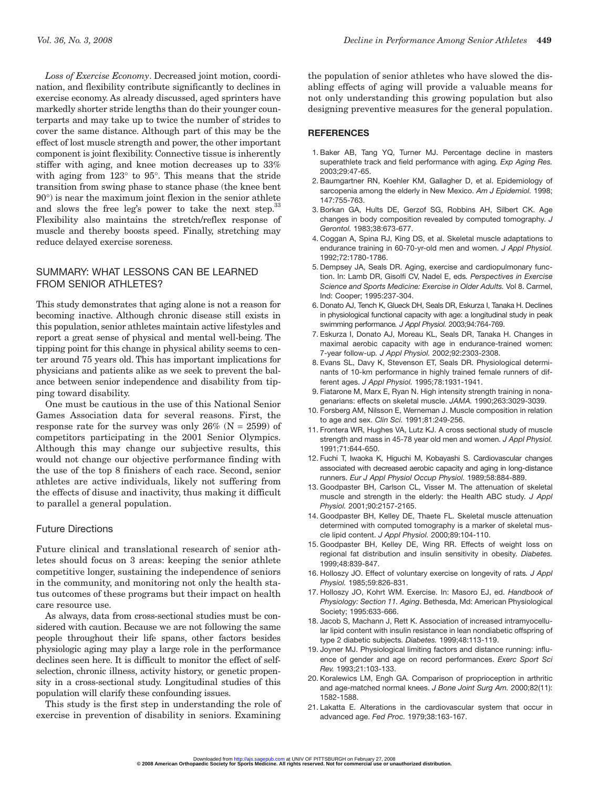*Loss of Exercise Economy*. Decreased joint motion, coordination, and flexibility contribute significantly to declines in exercise economy. As already discussed, aged sprinters have markedly shorter stride lengths than do their younger counterparts and may take up to twice the number of strides to cover the same distance. Although part of this may be the effect of lost muscle strength and power, the other important component is joint flexibility. Connective tissue is inherently stiffer with aging, and knee motion decreases up to 33% with aging from 123° to 95°. This means that the stride transition from swing phase to stance phase (the knee bent 90°) is near the maximum joint flexion in the senior athlete and slows the free leg's power to take the next step.<sup>33</sup> Flexibility also maintains the stretch/reflex response of muscle and thereby boosts speed. Finally, stretching may reduce delayed exercise soreness.

# SUMMARY: WHAT LESSONS CAN BE LEARNED FROM SENIOR ATHLETES?

This study demonstrates that aging alone is not a reason for becoming inactive. Although chronic disease still exists in this population, senior athletes maintain active lifestyles and report a great sense of physical and mental well-being. The tipping point for this change in physical ability seems to center around 75 years old. This has important implications for physicians and patients alike as we seek to prevent the balance between senior independence and disability from tipping toward disability.

One must be cautious in the use of this National Senior Games Association data for several reasons. First, the response rate for the survey was only  $26\%$  (N = 2599) of competitors participating in the 2001 Senior Olympics. Although this may change our subjective results, this would not change our objective performance finding with the use of the top 8 finishers of each race. Second, senior athletes are active individuals, likely not suffering from the effects of disuse and inactivity, thus making it difficult to parallel a general population.

#### Future Directions

Future clinical and translational research of senior athletes should focus on 3 areas: keeping the senior athlete competitive longer, sustaining the independence of seniors in the community, and monitoring not only the health status outcomes of these programs but their impact on health care resource use.

As always, data from cross-sectional studies must be considered with caution. Because we are not following the same people throughout their life spans, other factors besides physiologic aging may play a large role in the performance declines seen here. It is difficult to monitor the effect of selfselection, chronic illness, activity history, or genetic propensity in a cross-sectional study. Longitudinal studies of this population will clarify these confounding issues.

This study is the first step in understanding the role of exercise in prevention of disability in seniors. Examining

the population of senior athletes who have slowed the disabling effects of aging will provide a valuable means for not only understanding this growing population but also designing preventive measures for the general population.

#### **REFERENCES**

- 1. Baker AB, Tang YQ, Turner MJ. Percentage decline in masters superathlete track and field performance with aging*. Exp Aging Res.* 2003;29:47-65.
- 2. Baumgartner RN, Koehler KM, Gallagher D, et al. Epidemiology of sarcopenia among the elderly in New Mexico. *Am J Epidemiol.* 1998; 147:755-763.
- 3. Borkan GA, Hults DE, Gerzof SG, Robbins AH, Silbert CK. Age changes in body composition revealed by computed tomography. *J Gerontol.* 1983;38:673-677.
- 4. Coggan A, Spina RJ, King DS, et al. Skeletal muscle adaptations to endurance training in 60-70-yr-old men and women. *J Appl Physiol.* 1992;72:1780-1786.
- 5. Dempsey JA, Seals DR. Aging, exercise and cardiopulmonary function. In: Lamb DR, Gisolfi CV, Nadel E, eds*. Perspectives in Exercise Science and Sports Medicine: Exercise in Older Adults.* Vol 8. Carmel, Ind: Cooper; 1995:237-304.
- 6. Donato AJ, Tench K, Glueck DH, Seals DR, Eskurza I, Tanaka H. Declines in physiological functional capacity with age: a longitudinal study in peak swimming performance*. J Appl Physiol.* 2003;94:764-769.
- 7. Eskurza I, Donato AJ, Moreau KL, Seals DR, Tanaka H. Changes in maximal aerobic capacity with age in endurance-trained women: 7-year follow-up*. J Appl Physiol.* 2002;92:2303-2308.
- 8. Evans SL, Davy K, Stevenson ET, Seals DR. Physiological determinants of 10-km performance in highly trained female runners of different ages. *J Appl Physiol.* 1995;78:1931-1941.
- 9. Fiatarone M, Marx E, Ryan N. High intensity strength training in nonagenarians: effects on skeletal muscle. *JAMA.* 1990;263:3029-3039.
- 10. Forsberg AM, Nilsson E, Werneman J. Muscle composition in relation to age and sex. *Clin Sci.* 1991;81:249-256.
- 11. Frontera WR, Hughes VA, Lutz KJ. A cross sectional study of muscle strength and mass in 45-78 year old men and women. *J Appl Physiol.* 1991;71:644-650.
- 12. Fuchi T, Iwaoka K, Higuchi M, Kobayashi S. Cardiovascular changes associated with decreased aerobic capacity and aging in long-distance runners. *Eur J Appl Physiol Occup Physiol.* 1989;58:884-889.
- 13. Goodpaster BH, Carlson CL, Visser M. The attenuation of skeletal muscle and strength in the elderly: the Health ABC study. *J Appl Physiol.* 2001;90:2157-2165.
- 14. Goodpaster BH, Kelley DE, Thaete FL. Skeletal muscle attenuation determined with computed tomography is a marker of skeletal muscle lipid content. *J Appl Physiol.* 2000;89:104-110.
- 15. Goodpaster BH, Kelley DE, Wing RR. Effects of weight loss on regional fat distribution and insulin sensitivity in obesity. *Diabetes.* 1999;48:839-847.
- 16. Holloszy JO. Effect of voluntary exercise on longevity of rats*. J Appl Physiol.* 1985;59:826-831.
- 17. Holloszy JO, Kohrt WM. Exercise. In: Masoro EJ, ed. *Handbook of Physiology: Section 11. Aging*. Bethesda, Md: American Physiological Society; 1995:633-666.
- 18. Jacob S, Machann J, Rett K. Association of increased intramyocellular lipid content with insulin resistance in lean nondiabetic offspring of type 2 diabetic subjects. *Diabetes.* 1999;48:113-119.
- 19. Joyner MJ. Physiological limiting factors and distance running: influence of gender and age on record performances. *Exerc Sport Sci Rev.* 1993;21:103-133.
- 20. Koralewics LM, Engh GA. Comparison of proprioception in arthritic and age-matched normal knees. *J Bone Joint Surg Am.* 2000;82(11): 1582-1588.
- 21. Lakatta E. Alterations in the cardiovascular system that occur in advanced age. *Fed Proc.* 1979;38:163-167.